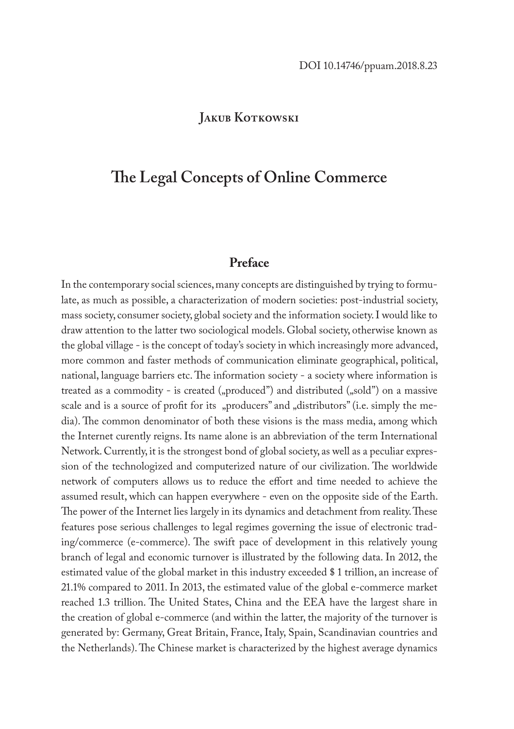### **JAKUB KOTKOWSKI**

# **The Legal Concepts of Online Commerce**

## **Preface**

In the contemporary social sciences, many concepts are distinguished by trying to formulate, as much as possible, a characterization of modern societies: post-industrial society, mass society, consumer society, global society and the information society. I would like to draw attention to the latter two sociological models. Global society, otherwise known as the global village - is the concept of today's society in which increasingly more advanced, more common and faster methods of communication eliminate geographical, political, national, language barriers etc. The information society - a society where information is treated as a commodity - is created  $($ "produced") and distributed  $($ "sold") on a massive scale and is a source of profit for its "producers" and "distributors" (i.e. simply the media). The common denominator of both these visions is the mass media, among which the Internet curently reigns. Its name alone is an abbreviation of the term International Network. Currently, it is the strongest bond of global society, as well as a peculiar expression of the technologized and computerized nature of our civilization. The worldwide network of computers allows us to reduce the effort and time needed to achieve the assumed result, which can happen everywhere - even on the opposite side of the Earth. The power of the Internet lies largely in its dynamics and detachment from reality. These features pose serious challenges to legal regimes governing the issue of electronic trading/commerce (e-commerce). The swift pace of development in this relatively young branch of legal and economic turnover is illustrated by the following data. In 2012, the estimated value of the global market in this industry exceeded \$ 1 trillion, an increase of 21.1% compared to 2011. In 2013, the estimated value of the global e-commerce market reached 1.3 trillion. The United States, China and the EEA have the largest share in the creation of global e-commerce (and within the latter, the majority of the turnover is generated by: Germany, Great Britain, France, Italy, Spain, Scandinavian countries and the Netherlands). The Chinese market is characterized by the highest average dynamics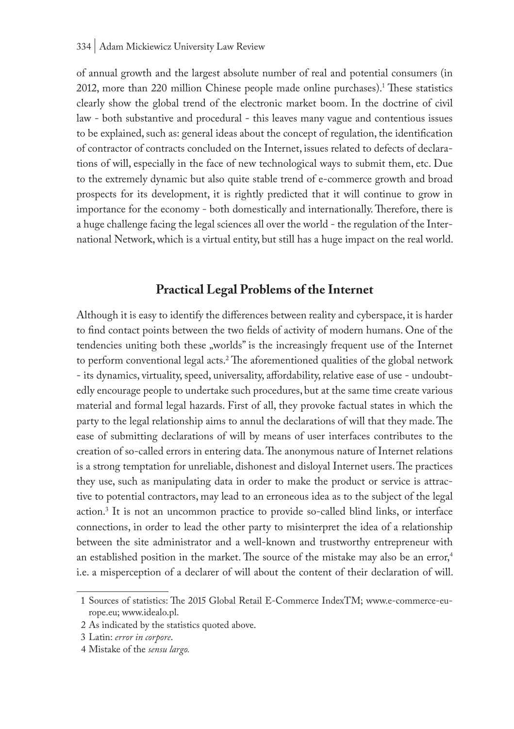of annual growth and the largest absolute number of real and potential consumers (in 2012, more than 220 million Chinese people made online purchases).<sup>1</sup> These statistics clearly show the global trend of the electronic market boom. In the doctrine of civil law - both substantive and procedural - this leaves many vague and contentious issues to be explained, such as: general ideas about the concept of regulation, the identification of contractor of contracts concluded on the Internet, issues related to defects of declarations of will, especially in the face of new technological ways to submit them, etc. Due to the extremely dynamic but also quite stable trend of e-commerce growth and broad prospects for its development, it is rightly predicted that it will continue to grow in importance for the economy - both domestically and internationally. Therefore, there is a huge challenge facing the legal sciences all over the world - the regulation of the International Network, which is a virtual entity, but still has a huge impact on the real world.

### **Practical Legal Problems of the Internet**

Although it is easy to identify the differences between reality and cyberspace, it is harder to find contact points between the two fields of activity of modern humans. One of the tendencies uniting both these "worlds" is the increasingly frequent use of the Internet to perform conventional legal acts.2 The aforementioned qualities of the global network - its dynamics, virtuality, speed, universality, affordability, relative ease of use - undoubtedly encourage people to undertake such procedures, but at the same time create various material and formal legal hazards. First of all, they provoke factual states in which the party to the legal relationship aims to annul the declarations of will that they made. The ease of submitting declarations of will by means of user interfaces contributes to the creation of so-called errors in entering data. The anonymous nature of Internet relations is a strong temptation for unreliable, dishonest and disloyal Internet users. The practices they use, such as manipulating data in order to make the product or service is attractive to potential contractors, may lead to an erroneous idea as to the subject of the legal action.3 It is not an uncommon practice to provide so-called blind links, or interface connections, in order to lead the other party to misinterpret the idea of a relationship between the site administrator and a well-known and trustworthy entrepreneur with an established position in the market. The source of the mistake may also be an error,<sup>4</sup> i.e. a misperception of a declarer of will about the content of their declaration of will.

<sup>1</sup> Sources of statistics: The 2015 Global Retail E-Commerce IndexTM; www.e-commerce-europe.eu; www.idealo.pl.

<sup>2</sup> As indicated by the statistics quoted above.

<sup>3</sup> Latin: *error in corpore*.

<sup>4</sup> Mistake of the *sensu largo.*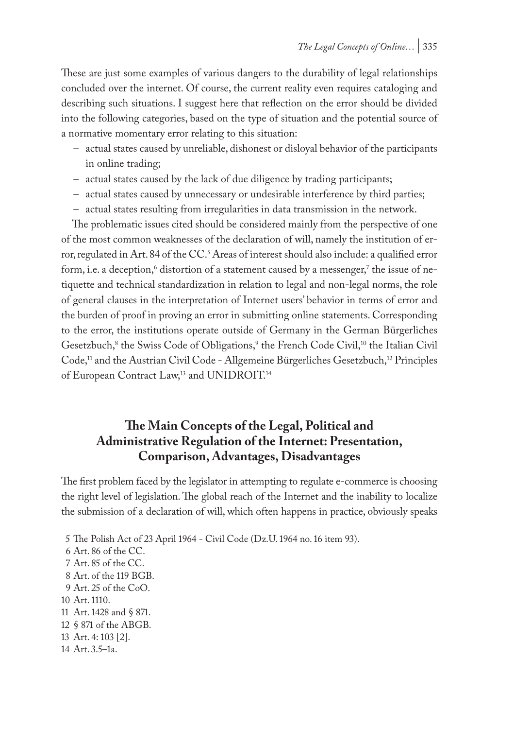These are just some examples of various dangers to the durability of legal relationships concluded over the internet. Of course, the current reality even requires cataloging and describing such situations. I suggest here that reflection on the error should be divided into the following categories, based on the type of situation and the potential source of a normative momentary error relating to this situation:

- actual states caused by unreliable, dishonest or disloyal behavior of the participants in online trading;
- actual states caused by the lack of due diligence by trading participants;
- actual states caused by unnecessary or undesirable interference by third parties;
- actual states resulting from irregularities in data transmission in the network.

The problematic issues cited should be considered mainly from the perspective of one of the most common weaknesses of the declaration of will, namely the institution of error, regulated in Art. 84 of the CC.<sup>5</sup> Areas of interest should also include: a qualified error form, i.e. a deception, $^{\circ}$  distortion of a statement caused by a messenger, $^{\prime}$  the issue of netiquette and technical standardization in relation to legal and non-legal norms, the role of general clauses in the interpretation of Internet users' behavior in terms of error and the burden of proof in proving an error in submitting online statements. Corresponding to the error, the institutions operate outside of Germany in the German Bürgerliches Gesetzbuch,<sup>8</sup> the Swiss Code of Obligations,<sup>9</sup> the French Code Civil,<sup>10</sup> the Italian Civil Code,<sup>11</sup> and the Austrian Civil Code - Allgemeine Bürgerliches Gesetzbuch,<sup>12</sup> Principles of European Contract Law,<sup>13</sup> and UNIDROIT.<sup>14</sup>

## **The Main Concepts of the Legal, Political and Administrative Regulation of the Internet: Presentation, Comparison, Advantages, Disadvantages**

The first problem faced by the legislator in attempting to regulate e-commerce is choosing the right level of legislation. The global reach of the Internet and the inability to localize the submission of a declaration of will, which often happens in practice, obviously speaks

- 10 Art. 1110.
- 11 Art. 1428 and § 871.

- 13 Art. 4: 103 [2].
- 14 Art. 3.5–1a.

<sup>5</sup> The Polish Act of 23 April 1964 - Civil Code (Dz.U. 1964 no. 16 item 93).

<sup>6</sup> Art. 86 of the CC.

<sup>7</sup> Art. 85 of the CC.

<sup>8</sup> Art. of the 119 BGB.

<sup>9</sup> Art. 25 of the CoO.

<sup>12</sup> § 871 of the ABGB.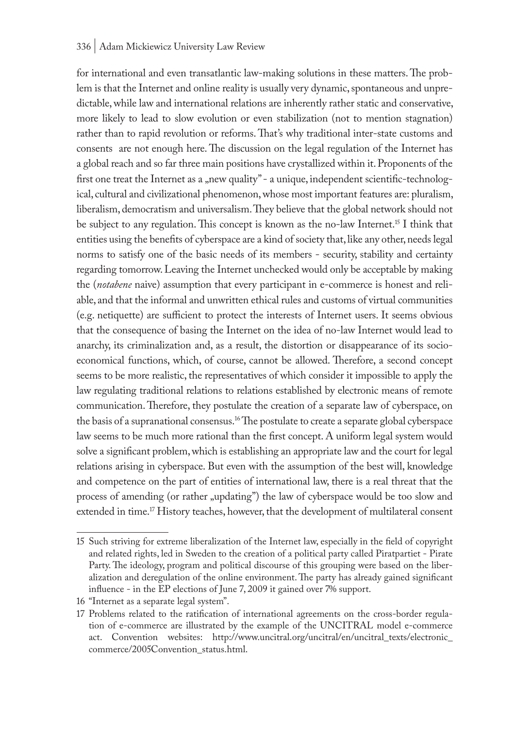#### 336 | Adam Mickiewicz University Law Review

for international and even transatlantic law-making solutions in these matters. The problem is that the Internet and online reality is usually very dynamic, spontaneous and unpredictable, while law and international relations are inherently rather static and conservative, more likely to lead to slow evolution or even stabilization (not to mention stagnation) rather than to rapid revolution or reforms. That's why traditional inter-state customs and consents are not enough here. The discussion on the legal regulation of the Internet has a global reach and so far three main positions have crystallized within it. Proponents of the first one treat the Internet as a "new quality" - a unique, independent scientific-technological, cultural and civilizational phenomenon, whose most important features are: pluralism, liberalism, democratism and universalism. They believe that the global network should not be subject to any regulation. This concept is known as the no-law Internet.15 I think that entities using the benefits of cyberspace are a kind of society that, like any other, needs legal norms to satisfy one of the basic needs of its members - security, stability and certainty regarding tomorrow. Leaving the Internet unchecked would only be acceptable by making the (*notabene* naive) assumption that every participant in e-commerce is honest and reliable, and that the informal and unwritten ethical rules and customs of virtual communities (e.g. netiquette) are sufficient to protect the interests of Internet users. It seems obvious that the consequence of basing the Internet on the idea of no-law Internet would lead to anarchy, its criminalization and, as a result, the distortion or disappearance of its socioeconomical functions, which, of course, cannot be allowed. Therefore, a second concept seems to be more realistic, the representatives of which consider it impossible to apply the law regulating traditional relations to relations established by electronic means of remote communication. Therefore, they postulate the creation of a separate law of cyberspace, on the basis of a supranational consensus.16 The postulate to create a separate global cyberspace law seems to be much more rational than the first concept. A uniform legal system would solve a significant problem, which is establishing an appropriate law and the court for legal relations arising in cyberspace. But even with the assumption of the best will, knowledge and competence on the part of entities of international law, there is a real threat that the process of amending (or rather "updating") the law of cyberspace would be too slow and extended in time.<sup>17</sup> History teaches, however, that the development of multilateral consent

<sup>15</sup> Such striving for extreme liberalization of the Internet law, especially in the field of copyright and related rights, led in Sweden to the creation of a political party called Piratpartiet - Pirate Party. The ideology, program and political discourse of this grouping were based on the liberalization and deregulation of the online environment. The party has already gained significant influence - in the EP elections of June 7, 2009 it gained over 7% support.

<sup>16</sup> "Internet as a separate legal system".

<sup>17</sup> Problems related to the ratification of international agreements on the cross-border regulation of e-commerce are illustrated by the example of the UNCITRAL model e-commerce act. Convention websites: http://www.uncitral.org/uncitral/en/uncitral\_texts/electronic\_ commerce/2005Convention\_status.html.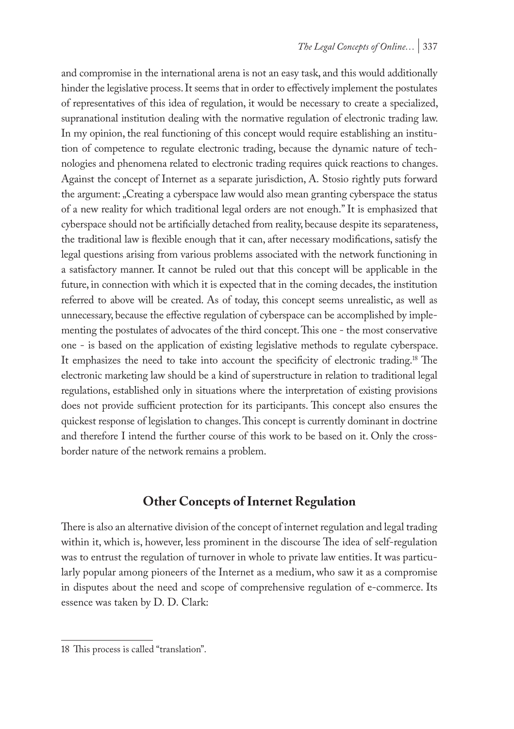and compromise in the international arena is not an easy task, and this would additionally hinder the legislative process. It seems that in order to effectively implement the postulates of representatives of this idea of regulation, it would be necessary to create a specialized, supranational institution dealing with the normative regulation of electronic trading law. In my opinion, the real functioning of this concept would require establishing an institution of competence to regulate electronic trading, because the dynamic nature of technologies and phenomena related to electronic trading requires quick reactions to changes. Against the concept of Internet as a separate jurisdiction, A. Stosio rightly puts forward the argument: "Creating a cyberspace law would also mean granting cyberspace the status of a new reality for which traditional legal orders are not enough." It is emphasized that cyberspace should not be artificially detached from reality, because despite its separateness, the traditional law is flexible enough that it can, after necessary modifications, satisfy the legal questions arising from various problems associated with the network functioning in a satisfactory manner. It cannot be ruled out that this concept will be applicable in the future, in connection with which it is expected that in the coming decades, the institution referred to above will be created. As of today, this concept seems unrealistic, as well as unnecessary, because the effective regulation of cyberspace can be accomplished by implementing the postulates of advocates of the third concept. This one - the most conservative one - is based on the application of existing legislative methods to regulate cyberspace. It emphasizes the need to take into account the specificity of electronic trading.18 The electronic marketing law should be a kind of superstructure in relation to traditional legal regulations, established only in situations where the interpretation of existing provisions does not provide sufficient protection for its participants. This concept also ensures the quickest response of legislation to changes. This concept is currently dominant in doctrine and therefore I intend the further course of this work to be based on it. Only the crossborder nature of the network remains a problem.

### **Other Concepts of Internet Regulation**

There is also an alternative division of the concept of internet regulation and legal trading within it, which is, however, less prominent in the discourse The idea of self-regulation was to entrust the regulation of turnover in whole to private law entities. It was particularly popular among pioneers of the Internet as a medium, who saw it as a compromise in disputes about the need and scope of comprehensive regulation of e-commerce. Its essence was taken by D. D. Clark:

<sup>18</sup> This process is called "translation".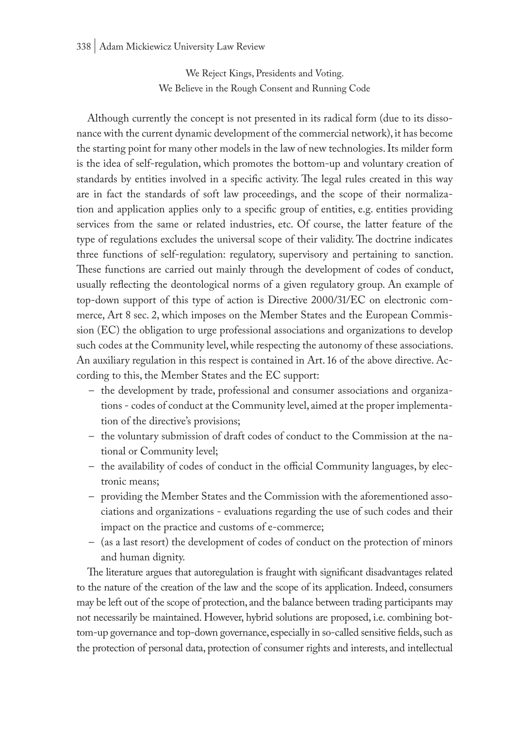We Reject Kings, Presidents and Voting. We Believe in the Rough Consent and Running Code

Although currently the concept is not presented in its radical form (due to its dissonance with the current dynamic development of the commercial network), it has become the starting point for many other models in the law of new technologies. Its milder form is the idea of self-regulation, which promotes the bottom-up and voluntary creation of standards by entities involved in a specific activity. The legal rules created in this way are in fact the standards of soft law proceedings, and the scope of their normalization and application applies only to a specific group of entities, e.g. entities providing services from the same or related industries, etc. Of course, the latter feature of the type of regulations excludes the universal scope of their validity. The doctrine indicates three functions of self-regulation: regulatory, supervisory and pertaining to sanction. These functions are carried out mainly through the development of codes of conduct, usually reflecting the deontological norms of a given regulatory group. An example of top-down support of this type of action is Directive 2000/31/EC on electronic commerce, Art 8 sec. 2, which imposes on the Member States and the European Commission (EC) the obligation to urge professional associations and organizations to develop such codes at the Community level, while respecting the autonomy of these associations. An auxiliary regulation in this respect is contained in Art. 16 of the above directive. According to this, the Member States and the EC support:

- the development by trade, professional and consumer associations and organizations - codes of conduct at the Community level, aimed at the proper implementation of the directive's provisions;
- the voluntary submission of draft codes of conduct to the Commission at the national or Community level;
- the availability of codes of conduct in the official Community languages, by electronic means;
- providing the Member States and the Commission with the aforementioned associations and organizations - evaluations regarding the use of such codes and their impact on the practice and customs of e-commerce;
- (as a last resort) the development of codes of conduct on the protection of minors and human dignity.

The literature argues that autoregulation is fraught with significant disadvantages related to the nature of the creation of the law and the scope of its application. Indeed, consumers may be left out of the scope of protection, and the balance between trading participants may not necessarily be maintained. However, hybrid solutions are proposed, i.e. combining bottom-up governance and top-down governance, especially in so-called sensitive fields, such as the protection of personal data, protection of consumer rights and interests, and intellectual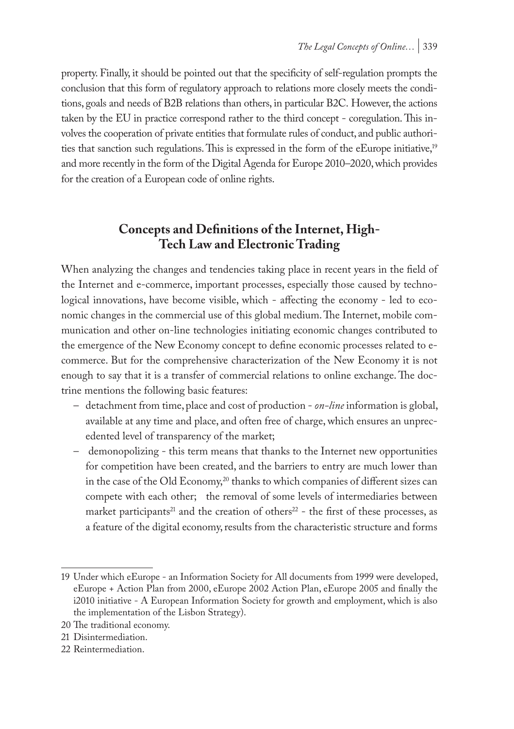property. Finally, it should be pointed out that the specificity of self-regulation prompts the conclusion that this form of regulatory approach to relations more closely meets the conditions, goals and needs of B2B relations than others, in particular B2C. However, the actions taken by the EU in practice correspond rather to the third concept - coregulation. This involves the cooperation of private entities that formulate rules of conduct, and public authorities that sanction such regulations. This is expressed in the form of the eEurope initiative,<sup>19</sup> and more recently in the form of the Digital Agenda for Europe 2010–2020, which provides for the creation of a European code of online rights.

# **Concepts and Definitions of the Internet, High-Tech Law and Electronic Trading**

When analyzing the changes and tendencies taking place in recent years in the field of the Internet and e-commerce, important processes, especially those caused by technological innovations, have become visible, which - affecting the economy - led to economic changes in the commercial use of this global medium. The Internet, mobile communication and other on-line technologies initiating economic changes contributed to the emergence of the New Economy concept to define economic processes related to ecommerce. But for the comprehensive characterization of the New Economy it is not enough to say that it is a transfer of commercial relations to online exchange. The doctrine mentions the following basic features:

- detachment from time, place and cost of production *on-line* information is global, available at any time and place, and often free of charge, which ensures an unprecedented level of transparency of the market;
- demonopolizing this term means that thanks to the Internet new opportunities for competition have been created, and the barriers to entry are much lower than in the case of the Old Economy,<sup>20</sup> thanks to which companies of different sizes can compete with each other; the removal of some levels of intermediaries between market participants<sup>21</sup> and the creation of others<sup>22</sup> - the first of these processes, as a feature of the digital economy, results from the characteristic structure and forms

<sup>19</sup> Under which eEurope - an Information Society for All documents from 1999 were developed, eEurope + Action Plan from 2000, eEurope 2002 Action Plan, eEurope 2005 and finally the i2010 initiative - A European Information Society for growth and employment, which is also the implementation of the Lisbon Strategy).

<sup>20</sup> The traditional economy.

<sup>21</sup> Disintermediation.

<sup>22</sup> Reintermediation.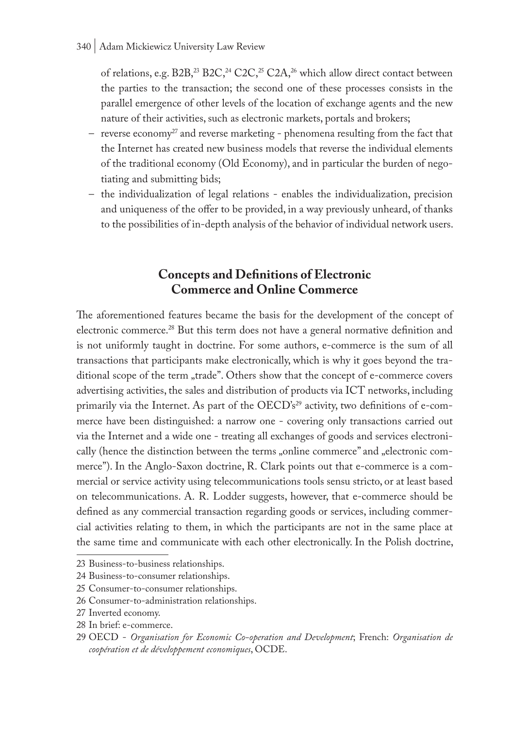### 340 | Adam Mickiewicz University Law Review

of relations, e.g. B2B,<sup>23</sup> B2C,<sup>24</sup> C2C,<sup>25</sup> C2A,<sup>26</sup> which allow direct contact between the parties to the transaction; the second one of these processes consists in the parallel emergence of other levels of the location of exchange agents and the new nature of their activities, such as electronic markets, portals and brokers;

- reverse economy<sup>27</sup> and reverse marketing phenomena resulting from the fact that the Internet has created new business models that reverse the individual elements of the traditional economy (Old Economy), and in particular the burden of negotiating and submitting bids;
- the individualization of legal relations enables the individualization, precision and uniqueness of the offer to be provided, in a way previously unheard, of thanks to the possibilities of in-depth analysis of the behavior of individual network users.

## **Concepts and Definitions of Electronic Commerce and Online Commerce**

The aforementioned features became the basis for the development of the concept of electronic commerce.28 But this term does not have a general normative definition and is not uniformly taught in doctrine. For some authors, e-commerce is the sum of all transactions that participants make electronically, which is why it goes beyond the traditional scope of the term "trade". Others show that the concept of e-commerce covers advertising activities, the sales and distribution of products via ICT networks, including primarily via the Internet. As part of the OECD's<sup>29</sup> activity, two definitions of e-commerce have been distinguished: a narrow one - covering only transactions carried out via the Internet and a wide one - treating all exchanges of goods and services electronically (hence the distinction between the terms "online commerce" and "electronic commerce"). In the Anglo-Saxon doctrine, R. Clark points out that e-commerce is a commercial or service activity using telecommunications tools sensu stricto, or at least based on telecommunications. A. R. Lodder suggests, however, that e-commerce should be defined as any commercial transaction regarding goods or services, including commercial activities relating to them, in which the participants are not in the same place at the same time and communicate with each other electronically. In the Polish doctrine,

<sup>23</sup> Business-to-business relationships.

<sup>24</sup> Business-to-consumer relationships.

<sup>25</sup> Consumer-to-consumer relationships.

<sup>26</sup> Consumer-to-administration relationships.

<sup>27</sup> Inverted economy.

<sup>28</sup> In brief: e-commerce.

<sup>29</sup> OECD - *Organisation for Economic Co-operation and Development*; French: *Organisation de coopération et de développement economiques*, OCDE.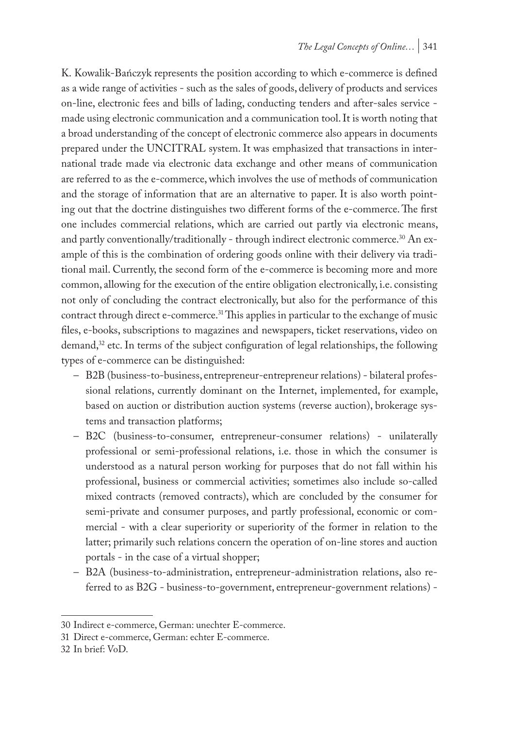K. Kowalik-Bańczyk represents the position according to which e-commerce is defined as a wide range of activities - such as the sales of goods, delivery of products and services on-line, electronic fees and bills of lading, conducting tenders and after-sales service made using electronic communication and a communication tool. It is worth noting that a broad understanding of the concept of electronic commerce also appears in documents prepared under the UNCITRAL system. It was emphasized that transactions in international trade made via electronic data exchange and other means of communication are referred to as the e-commerce, which involves the use of methods of communication and the storage of information that are an alternative to paper. It is also worth pointing out that the doctrine distinguishes two different forms of the e-commerce. The first one includes commercial relations, which are carried out partly via electronic means, and partly conventionally/traditionally - through indirect electronic commerce.<sup>30</sup> An example of this is the combination of ordering goods online with their delivery via traditional mail. Currently, the second form of the e-commerce is becoming more and more common, allowing for the execution of the entire obligation electronically, i.e. consisting not only of concluding the contract electronically, but also for the performance of this contract through direct e-commerce.<sup>31</sup> This applies in particular to the exchange of music files, e-books, subscriptions to magazines and newspapers, ticket reservations, video on demand, $32$  etc. In terms of the subject configuration of legal relationships, the following types of e-commerce can be distinguished:

- B2B (business-to-business, entrepreneur-entrepreneur relations) bilateral professional relations, currently dominant on the Internet, implemented, for example, based on auction or distribution auction systems (reverse auction), brokerage systems and transaction platforms;
- B2C (business-to-consumer, entrepreneur-consumer relations) unilaterally professional or semi-professional relations, i.e. those in which the consumer is understood as a natural person working for purposes that do not fall within his professional, business or commercial activities; sometimes also include so-called mixed contracts (removed contracts), which are concluded by the consumer for semi-private and consumer purposes, and partly professional, economic or commercial - with a clear superiority or superiority of the former in relation to the latter; primarily such relations concern the operation of on-line stores and auction portals - in the case of a virtual shopper;
- B2A (business-to-administration, entrepreneur-administration relations, also referred to as B2G - business-to-government, entrepreneur-government relations) -

<sup>30</sup> Indirect e-commerce, German: unechter E-commerce.

<sup>31</sup> Direct e-commerce, German: echter E-commerce.

<sup>32</sup> In brief: VoD.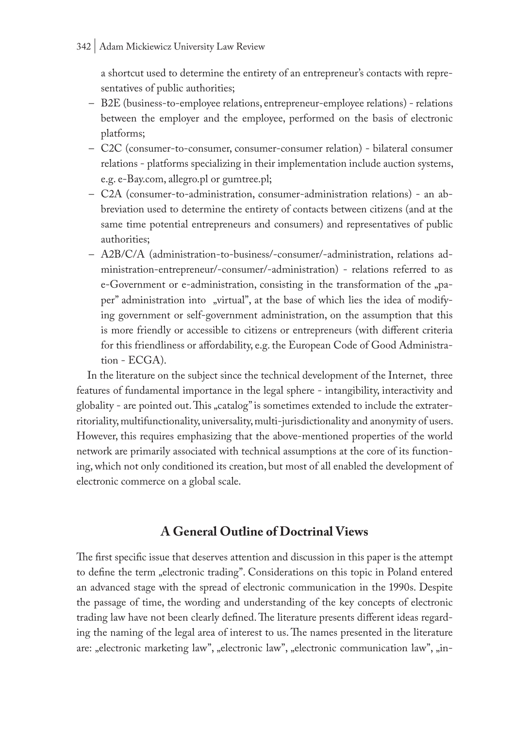a shortcut used to determine the entirety of an entrepreneur's contacts with representatives of public authorities;

- B2E (business-to-employee relations, entrepreneur-employee relations) relations between the employer and the employee, performed on the basis of electronic platforms;
- C2C (consumer-to-consumer, consumer-consumer relation) bilateral consumer relations - platforms specializing in their implementation include auction systems, e.g. e-Bay.com, allegro.pl or gumtree.pl;
- C2A (consumer-to-administration, consumer-administration relations) an abbreviation used to determine the entirety of contacts between citizens (and at the same time potential entrepreneurs and consumers) and representatives of public authorities;
- A2B/C/A (administration-to-business/-consumer/-administration, relations administration-entrepreneur/-consumer/-administration) - relations referred to as e-Government or e-administration, consisting in the transformation of the "paper" administration into "virtual", at the base of which lies the idea of modifying government or self-government administration, on the assumption that this is more friendly or accessible to citizens or entrepreneurs (with different criteria for this friendliness or affordability, e.g. the European Code of Good Administration - ECGA).

In the literature on the subject since the technical development of the Internet, three features of fundamental importance in the legal sphere - intangibility, interactivity and globality - are pointed out. This "catalog" is sometimes extended to include the extraterritoriality, multifunctionality, universality, multi-jurisdictionality and anonymity of users. However, this requires emphasizing that the above-mentioned properties of the world network are primarily associated with technical assumptions at the core of its functioning, which not only conditioned its creation, but most of all enabled the development of electronic commerce on a global scale.

# **A General Outline of Doctrinal Views**

The first specific issue that deserves attention and discussion in this paper is the attempt to define the term "electronic trading". Considerations on this topic in Poland entered an advanced stage with the spread of electronic communication in the 1990s. Despite the passage of time, the wording and understanding of the key concepts of electronic trading law have not been clearly defined. The literature presents different ideas regarding the naming of the legal area of interest to us. The names presented in the literature are: "electronic marketing law", "electronic law", "electronic communication law", "in-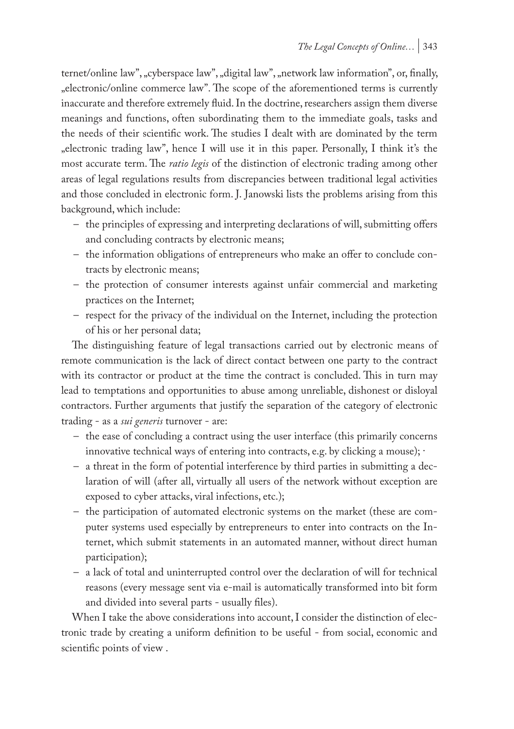ternet/online law", "cyberspace law", "digital law", "network law information", or, finally, "electronic/online commerce law". The scope of the aforementioned terms is currently inaccurate and therefore extremely fluid. In the doctrine, researchers assign them diverse meanings and functions, often subordinating them to the immediate goals, tasks and the needs of their scientific work. The studies I dealt with are dominated by the term "electronic trading law", hence I will use it in this paper. Personally, I think it's the most accurate term. The *ratio legis* of the distinction of electronic trading among other areas of legal regulations results from discrepancies between traditional legal activities and those concluded in electronic form. J. Janowski lists the problems arising from this background, which include:

- the principles of expressing and interpreting declarations of will, submitting offers and concluding contracts by electronic means;
- the information obligations of entrepreneurs who make an offer to conclude contracts by electronic means;
- the protection of consumer interests against unfair commercial and marketing practices on the Internet;
- respect for the privacy of the individual on the Internet, including the protection of his or her personal data;

The distinguishing feature of legal transactions carried out by electronic means of remote communication is the lack of direct contact between one party to the contract with its contractor or product at the time the contract is concluded. This in turn may lead to temptations and opportunities to abuse among unreliable, dishonest or disloyal contractors. Further arguments that justify the separation of the category of electronic trading - as a *sui generis* turnover - are:

- the ease of concluding a contract using the user interface (this primarily concerns innovative technical ways of entering into contracts, e.g. by clicking a mouse); ·
- a threat in the form of potential interference by third parties in submitting a declaration of will (after all, virtually all users of the network without exception are exposed to cyber attacks, viral infections, etc.);
- the participation of automated electronic systems on the market (these are computer systems used especially by entrepreneurs to enter into contracts on the Internet, which submit statements in an automated manner, without direct human participation);
- a lack of total and uninterrupted control over the declaration of will for technical reasons (every message sent via e-mail is automatically transformed into bit form and divided into several parts - usually files).

When I take the above considerations into account, I consider the distinction of electronic trade by creating a uniform definition to be useful - from social, economic and scientific points of view .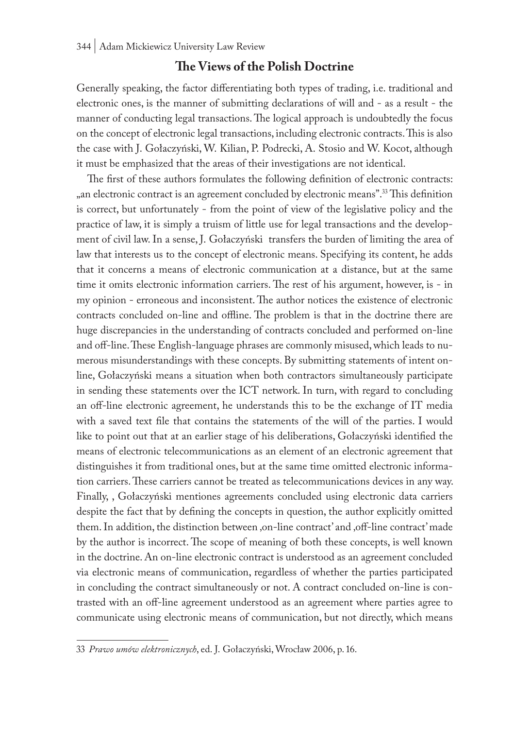### **The Views of the Polish Doctrine**

Generally speaking, the factor differentiating both types of trading, i.e. traditional and electronic ones, is the manner of submitting declarations of will and - as a result - the manner of conducting legal transactions. The logical approach is undoubtedly the focus on the concept of electronic legal transactions, including electronic contracts. This is also the case with J. Gołaczyński, W. Kilian, P. Podrecki, A. Stosio and W. Kocot, although it must be emphasized that the areas of their investigations are not identical.

The first of these authors formulates the following definition of electronic contracts: ", an electronic contract is an agreement concluded by electronic means".<sup>33</sup> This definition is correct, but unfortunately - from the point of view of the legislative policy and the practice of law, it is simply a truism of little use for legal transactions and the development of civil law. In a sense, J. Gołaczyński transfers the burden of limiting the area of law that interests us to the concept of electronic means. Specifying its content, he adds that it concerns a means of electronic communication at a distance, but at the same time it omits electronic information carriers. The rest of his argument, however, is - in my opinion - erroneous and inconsistent. The author notices the existence of electronic contracts concluded on-line and offline. The problem is that in the doctrine there are huge discrepancies in the understanding of contracts concluded and performed on-line and off-line. These English-language phrases are commonly misused, which leads to numerous misunderstandings with these concepts. By submitting statements of intent online, Gołaczyński means a situation when both contractors simultaneously participate in sending these statements over the ICT network. In turn, with regard to concluding an off-line electronic agreement, he understands this to be the exchange of IT media with a saved text file that contains the statements of the will of the parties. I would like to point out that at an earlier stage of his deliberations, Gołaczyński identified the means of electronic telecommunications as an element of an electronic agreement that distinguishes it from traditional ones, but at the same time omitted electronic information carriers. These carriers cannot be treated as telecommunications devices in any way. Finally, , Gołaczyński mentiones agreements concluded using electronic data carriers despite the fact that by defining the concepts in question, the author explicitly omitted them. In addition, the distinction between ,on-line contract' and ,off-line contract' made by the author is incorrect. The scope of meaning of both these concepts, is well known in the doctrine. An on-line electronic contract is understood as an agreement concluded via electronic means of communication, regardless of whether the parties participated in concluding the contract simultaneously or not. A contract concluded on-line is contrasted with an off-line agreement understood as an agreement where parties agree to communicate using electronic means of communication, but not directly, which means

<sup>33</sup> *Prawo umów elektronicznych*, ed. J. Gołaczyński, Wrocław 2006, p. 16.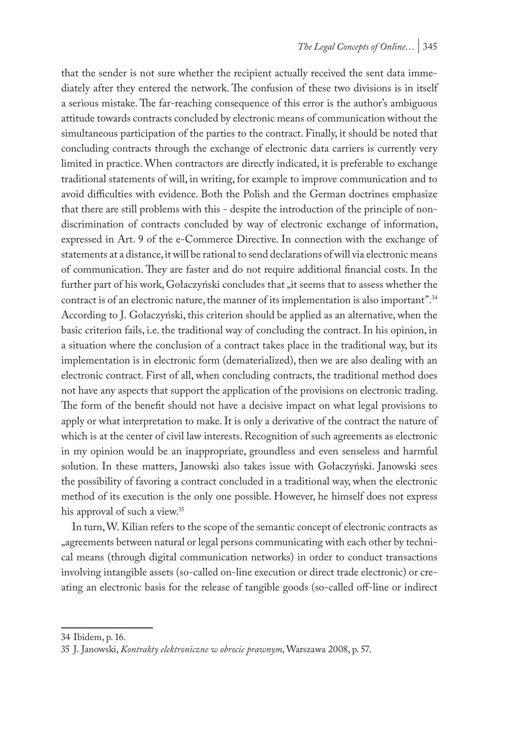that the sender is not sure whether the recipient actually received the sent data immediately after they entered the network. The confusion of these two divisions is in itself a serious mistake. The far-reaching consequence of this error is the author's ambiguous attitude towards contracts concluded by electronic means of communication without the simultaneous participation of the parties to the contract. Finally, it should be noted that concluding contracts through the exchange of electronic data carriers is currently very limited in practice. When contractors are directly indicated, it is preferable to exchange traditional statements of will, in writing, for example to improve communication and to avoid difficulties with evidence. Both the Polish and the German doctrines emphasize that there are still problems with this - despite the introduction of the principle of nondiscrimination of contracts concluded by way of electronic exchange of information, expressed in Art. 9 of the e-Commerce Directive. In connection with the exchange of statements at a distance, it will be rational to send declarations of will via electronic means of communication. They are faster and do not require additional financial costs. In the further part of his work, Gołaczyński concludes that "it seems that to assess whether the contract is of an electronic nature, the manner of its implementation is also important".34 According to J. Gołaczyński, this criterion should be applied as an alternative, when the basic criterion fails, i.e. the traditional way of concluding the contract. In his opinion, in a situation where the conclusion of a contract takes place in the traditional way, but its implementation is in electronic form (dematerialized), then we are also dealing with an electronic contract. First of all, when concluding contracts, the traditional method does not have any aspects that support the application of the provisions on electronic trading. The form of the benefit should not have a decisive impact on what legal provisions to apply or what interpretation to make. It is only a derivative of the contract the nature of which is at the center of civil law interests. Recognition of such agreements as electronic in my opinion would be an inappropriate, groundless and even senseless and harmful solution. In these matters, Janowski also takes issue with Gołaczyński. Janowski sees the possibility of favoring a contract concluded in a traditional way, when the electronic method of its execution is the only one possible. However, he himself does not express his approval of such a view.<sup>35</sup>

In turn, W. Kilian refers to the scope of the semantic concept of electronic contracts as "agreements between natural or legal persons communicating with each other by technical means (through digital communication networks) in order to conduct transactions involving intangible assets (so-called on-line execution or direct trade electronic) or creating an electronic basis for the release of tangible goods (so-called off-line or indirect

<sup>34</sup> Ibidem, p. 16.

<sup>35</sup> J. Janowski, *Kontrakty elektroniczne w obrocie prawnym*, Warszawa 2008, p. 57.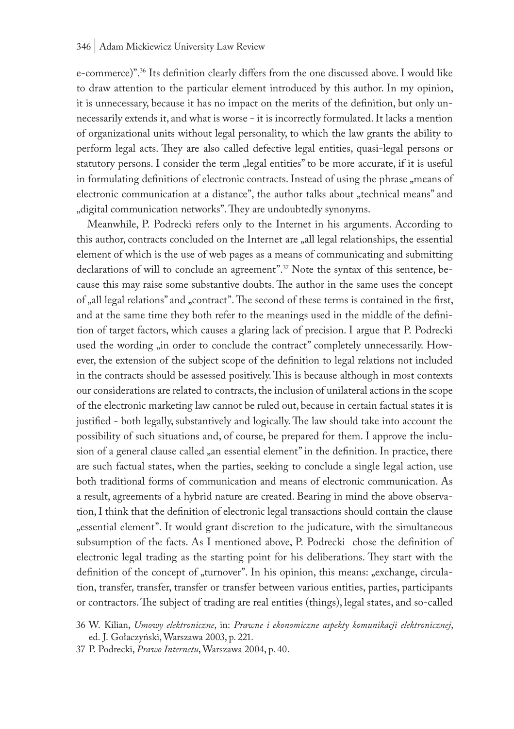e-commerce)".36 Its definition clearly differs from the one discussed above. I would like to draw attention to the particular element introduced by this author. In my opinion, it is unnecessary, because it has no impact on the merits of the definition, but only unnecessarily extends it, and what is worse - it is incorrectly formulated. It lacks a mention of organizational units without legal personality, to which the law grants the ability to perform legal acts. They are also called defective legal entities, quasi-legal persons or statutory persons. I consider the term "legal entities" to be more accurate, if it is useful in formulating definitions of electronic contracts. Instead of using the phrase "means of electronic communication at a distance", the author talks about "technical means" and "digital communication networks". They are undoubtedly synonyms.

Meanwhile, P. Podrecki refers only to the Internet in his arguments. According to this author, contracts concluded on the Internet are "all legal relationships, the essential element of which is the use of web pages as a means of communicating and submitting declarations of will to conclude an agreement".<sup>37</sup> Note the syntax of this sentence, because this may raise some substantive doubts. The author in the same uses the concept of "all legal relations" and "contract". The second of these terms is contained in the first, and at the same time they both refer to the meanings used in the middle of the definition of target factors, which causes a glaring lack of precision. I argue that P. Podrecki used the wording "in order to conclude the contract" completely unnecessarily. However, the extension of the subject scope of the definition to legal relations not included in the contracts should be assessed positively. This is because although in most contexts our considerations are related to contracts, the inclusion of unilateral actions in the scope of the electronic marketing law cannot be ruled out, because in certain factual states it is justified - both legally, substantively and logically. The law should take into account the possibility of such situations and, of course, be prepared for them. I approve the inclusion of a general clause called "an essential element" in the definition. In practice, there are such factual states, when the parties, seeking to conclude a single legal action, use both traditional forms of communication and means of electronic communication. As a result, agreements of a hybrid nature are created. Bearing in mind the above observation, I think that the definition of electronic legal transactions should contain the clause "essential element". It would grant discretion to the judicature, with the simultaneous subsumption of the facts. As I mentioned above, P. Podrecki chose the definition of electronic legal trading as the starting point for his deliberations. They start with the definition of the concept of "turnover". In his opinion, this means: "exchange, circulation, transfer, transfer, transfer or transfer between various entities, parties, participants or contractors. The subject of trading are real entities (things), legal states, and so-called

<sup>36</sup> W. Kilian, *Umowy elektroniczne*, in: *Prawne i ekonomiczne aspekty komunikacji elektronicznej*, ed. J. Gołaczyński, Warszawa 2003, p. 221.

<sup>37</sup> P. Podrecki, *Prawo Internetu*, Warszawa 2004, p. 40.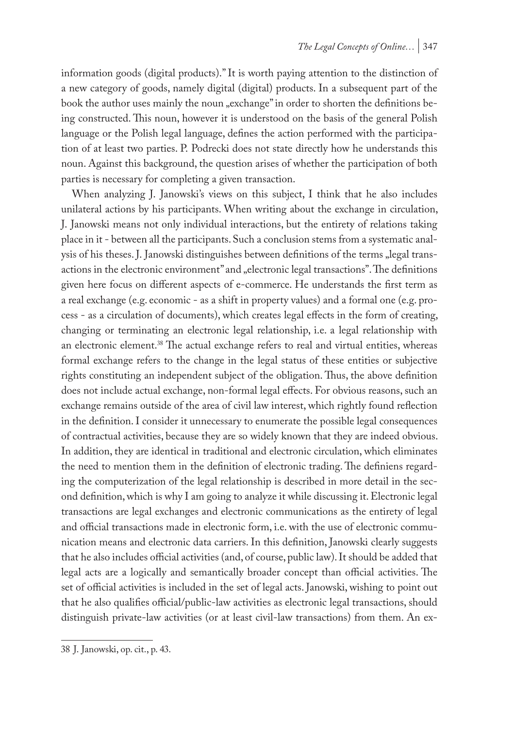information goods (digital products)." It is worth paying attention to the distinction of a new category of goods, namely digital (digital) products. In a subsequent part of the book the author uses mainly the noun "exchange" in order to shorten the definitions being constructed. This noun, however it is understood on the basis of the general Polish language or the Polish legal language, defines the action performed with the participation of at least two parties. P. Podrecki does not state directly how he understands this noun. Against this background, the question arises of whether the participation of both parties is necessary for completing a given transaction.

When analyzing J. Janowski's views on this subject, I think that he also includes unilateral actions by his participants. When writing about the exchange in circulation, J. Janowski means not only individual interactions, but the entirety of relations taking place in it - between all the participants. Such a conclusion stems from a systematic analysis of his theses. J. Janowski distinguishes between definitions of the terms "legal transactions in the electronic environment" and "electronic legal transactions". The definitions given here focus on different aspects of e-commerce. He understands the first term as a real exchange (e.g. economic - as a shift in property values) and a formal one (e.g. process - as a circulation of documents), which creates legal effects in the form of creating, changing or terminating an electronic legal relationship, i.e. a legal relationship with an electronic element.<sup>38</sup> The actual exchange refers to real and virtual entities, whereas formal exchange refers to the change in the legal status of these entities or subjective rights constituting an independent subject of the obligation. Thus, the above definition does not include actual exchange, non-formal legal effects. For obvious reasons, such an exchange remains outside of the area of civil law interest, which rightly found reflection in the definition. I consider it unnecessary to enumerate the possible legal consequences of contractual activities, because they are so widely known that they are indeed obvious. In addition, they are identical in traditional and electronic circulation, which eliminates the need to mention them in the definition of electronic trading. The definiens regarding the computerization of the legal relationship is described in more detail in the second definition, which is why I am going to analyze it while discussing it. Electronic legal transactions are legal exchanges and electronic communications as the entirety of legal and official transactions made in electronic form, i.e. with the use of electronic communication means and electronic data carriers. In this definition, Janowski clearly suggests that he also includes official activities (and, of course, public law). It should be added that legal acts are a logically and semantically broader concept than official activities. The set of official activities is included in the set of legal acts. Janowski, wishing to point out that he also qualifies official/public-law activities as electronic legal transactions, should distinguish private-law activities (or at least civil-law transactions) from them. An ex-

<sup>38</sup> J. Janowski, op. cit., p. 43.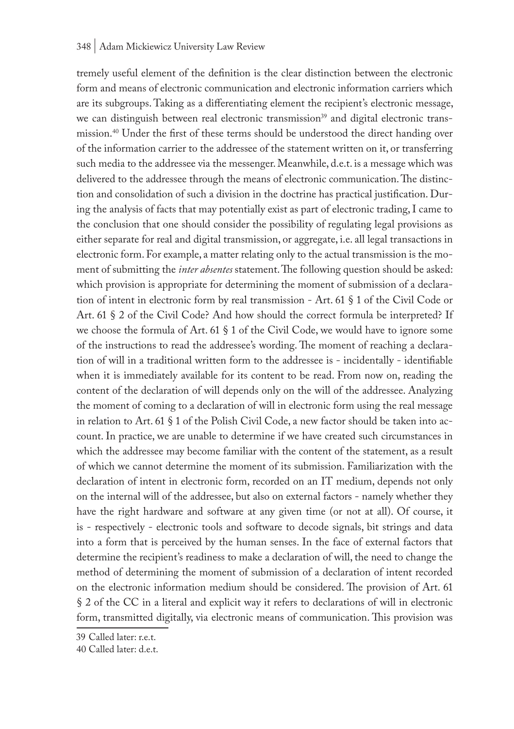tremely useful element of the definition is the clear distinction between the electronic form and means of electronic communication and electronic information carriers which are its subgroups. Taking as a differentiating element the recipient's electronic message, we can distinguish between real electronic transmission<sup>39</sup> and digital electronic transmission.<sup>40</sup> Under the first of these terms should be understood the direct handing over of the information carrier to the addressee of the statement written on it, or transferring such media to the addressee via the messenger. Meanwhile, d.e.t. is a message which was delivered to the addressee through the means of electronic communication. The distinction and consolidation of such a division in the doctrine has practical justification. During the analysis of facts that may potentially exist as part of electronic trading, I came to the conclusion that one should consider the possibility of regulating legal provisions as either separate for real and digital transmission, or aggregate, i.e. all legal transactions in electronic form. For example, a matter relating only to the actual transmission is the moment of submitting the *inter absentes* statement. The following question should be asked: which provision is appropriate for determining the moment of submission of a declaration of intent in electronic form by real transmission - Art. 61 § 1 of the Civil Code or Art. 61 § 2 of the Civil Code? And how should the correct formula be interpreted? If we choose the formula of Art. 61 § 1 of the Civil Code, we would have to ignore some of the instructions to read the addressee's wording. The moment of reaching a declaration of will in a traditional written form to the addressee is - incidentally - identifiable when it is immediately available for its content to be read. From now on, reading the content of the declaration of will depends only on the will of the addressee. Analyzing the moment of coming to a declaration of will in electronic form using the real message in relation to Art. 61  $\S$  1 of the Polish Civil Code, a new factor should be taken into account. In practice, we are unable to determine if we have created such circumstances in which the addressee may become familiar with the content of the statement, as a result of which we cannot determine the moment of its submission. Familiarization with the declaration of intent in electronic form, recorded on an IT medium, depends not only on the internal will of the addressee, but also on external factors - namely whether they have the right hardware and software at any given time (or not at all). Of course, it is - respectively - electronic tools and software to decode signals, bit strings and data into a form that is perceived by the human senses. In the face of external factors that determine the recipient's readiness to make a declaration of will, the need to change the method of determining the moment of submission of a declaration of intent recorded on the electronic information medium should be considered. The provision of Art. 61 § 2 of the CC in a literal and explicit way it refers to declarations of will in electronic form, transmitted digitally, via electronic means of communication. This provision was

<sup>39</sup> Called later: r.e.t.

<sup>40</sup> Called later: d.e.t.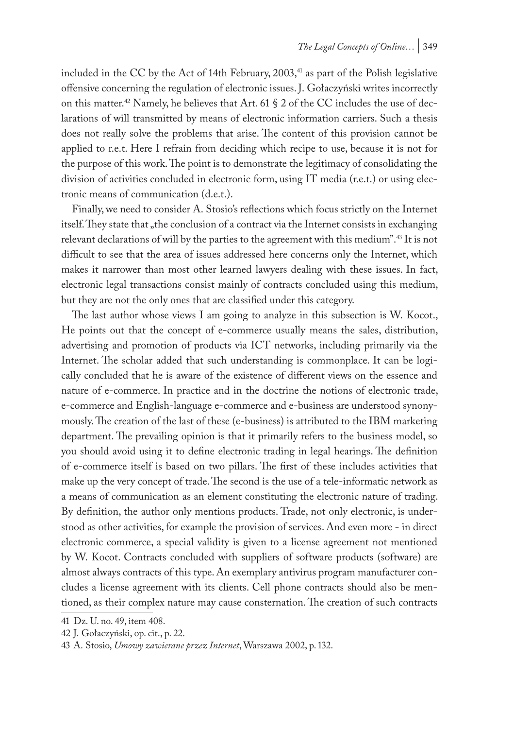included in the CC by the Act of 14th February,  $2003$ ,<sup>41</sup> as part of the Polish legislative offensive concerning the regulation of electronic issues. J. Gołaczyński writes incorrectly on this matter.<sup>42</sup> Namely, he believes that Art. 61  $\S$  2 of the CC includes the use of declarations of will transmitted by means of electronic information carriers. Such a thesis does not really solve the problems that arise. The content of this provision cannot be applied to r.e.t. Here I refrain from deciding which recipe to use, because it is not for the purpose of this work. The point is to demonstrate the legitimacy of consolidating the division of activities concluded in electronic form, using IT media (r.e.t.) or using electronic means of communication (d.e.t.).

Finally, we need to consider A. Stosio's reflections which focus strictly on the Internet itself. They state that "the conclusion of a contract via the Internet consists in exchanging relevant declarations of will by the parties to the agreement with this medium".43 It is not difficult to see that the area of issues addressed here concerns only the Internet, which makes it narrower than most other learned lawyers dealing with these issues. In fact, electronic legal transactions consist mainly of contracts concluded using this medium, but they are not the only ones that are classified under this category.

The last author whose views I am going to analyze in this subsection is W. Kocot., He points out that the concept of e-commerce usually means the sales, distribution, advertising and promotion of products via ICT networks, including primarily via the Internet. The scholar added that such understanding is commonplace. It can be logically concluded that he is aware of the existence of different views on the essence and nature of e-commerce. In practice and in the doctrine the notions of electronic trade, e-commerce and English-language e-commerce and e-business are understood synonymously. The creation of the last of these (e-business) is attributed to the IBM marketing department. The prevailing opinion is that it primarily refers to the business model, so you should avoid using it to define electronic trading in legal hearings. The definition of e-commerce itself is based on two pillars. The first of these includes activities that make up the very concept of trade. The second is the use of a tele-informatic network as a means of communication as an element constituting the electronic nature of trading. By definition, the author only mentions products. Trade, not only electronic, is understood as other activities, for example the provision of services. And even more - in direct electronic commerce, a special validity is given to a license agreement not mentioned by W. Kocot. Contracts concluded with suppliers of software products (software) are almost always contracts of this type. An exemplary antivirus program manufacturer concludes a license agreement with its clients. Cell phone contracts should also be mentioned, as their complex nature may cause consternation. The creation of such contracts

<sup>41</sup> Dz. U. no. 49, item 408.

<sup>42</sup> J. Gołaczyński, op. cit., p. 22.

<sup>43</sup> A. Stosio, *Umowy zawierane przez Internet*, Warszawa 2002, p. 132.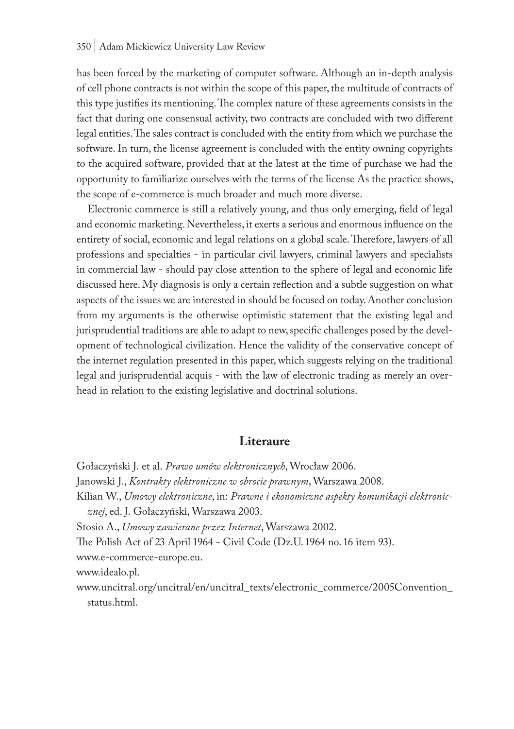#### 350 | Adam Mickiewicz University Law Review

has been forced by the marketing of computer software. Although an in-depth analysis of cell phone contracts is not within the scope of this paper, the multitude of contracts of this type justifies its mentioning. The complex nature of these agreements consists in the fact that during one consensual activity, two contracts are concluded with two different legal entities. The sales contract is concluded with the entity from which we purchase the software. In turn, the license agreement is concluded with the entity owning copyrights to the acquired software, provided that at the latest at the time of purchase we had the opportunity to familiarize ourselves with the terms of the license As the practice shows, the scope of e-commerce is much broader and much more diverse.

Electronic commerce is still a relatively young, and thus only emerging, field of legal and economic marketing. Nevertheless, it exerts a serious and enormous influence on the entirety of social, economic and legal relations on a global scale. Therefore, lawyers of all professions and specialties - in particular civil lawyers, criminal lawyers and specialists in commercial law - should pay close attention to the sphere of legal and economic life discussed here. My diagnosis is only a certain reflection and a subtle suggestion on what aspects of the issues we are interested in should be focused on today. Another conclusion from my arguments is the otherwise optimistic statement that the existing legal and jurisprudential traditions are able to adapt to new, specific challenges posed by the development of technological civilization. Hence the validity of the conservative concept of the internet regulation presented in this paper, which suggests relying on the traditional legal and jurisprudential acquis - with the law of electronic trading as merely an overhead in relation to the existing legislative and doctrinal solutions.

### **Literaure**

Gołaczyński J. et al. *Prawo umów elektronicznych*, Wrocław 2006. Janowski J., *Kontrakty elektroniczne w obrocie prawnym*, Warszawa 2008. Kilian W., *Umowy elektroniczne*, in: *Prawne i ekonomiczne aspekty komunikacji elektronicznej*, ed. J. Gołaczyński, Warszawa 2003. Stosio A., *Umowy zawierane przez Internet*, Warszawa 2002. The Polish Act of 23 April 1964 - Civil Code (Dz.U. 1964 no. 16 item 93). www.e-commerce-europe.eu. www.idealo.pl. www.uncitral.org/uncitral/en/uncitral\_texts/electronic\_commerce/2005Convention\_

status.html.